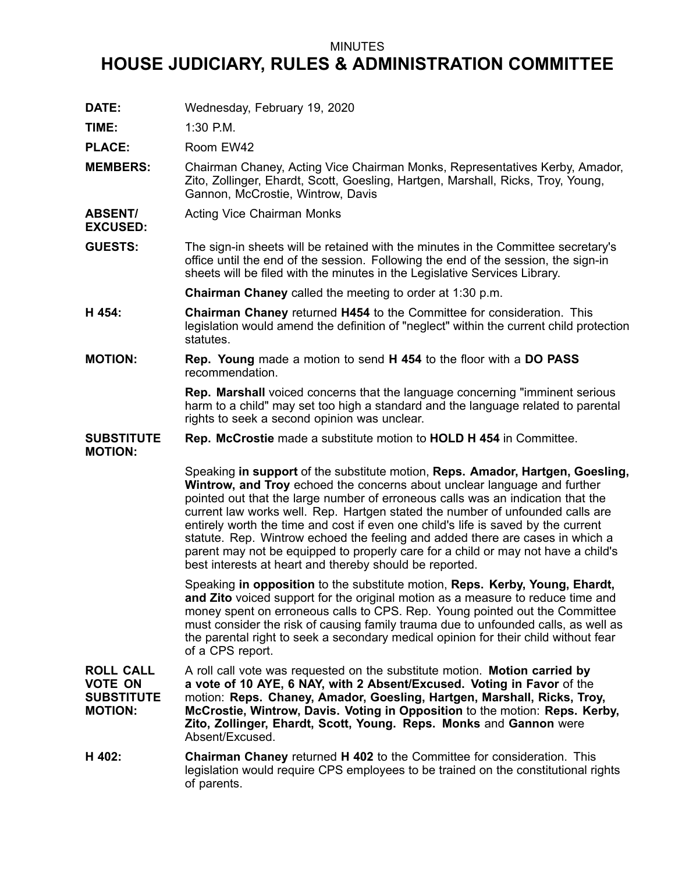## MINUTES

## **HOUSE JUDICIARY, RULES & ADMINISTRATION COMMITTEE**

**DATE:** Wednesday, February 19, 2020

**TIME:** 1:30 P.M.

PLACE: Room EW42

- **MEMBERS:** Chairman Chaney, Acting Vice Chairman Monks, Representatives Kerby, Amador, Zito, Zollinger, Ehardt, Scott, Goesling, Hartgen, Marshall, Ricks, Troy, Young, Gannon, McCrostie, Wintrow, Davis
- **ABSENT/ EXCUSED:** Acting Vice Chairman Monks
- **GUESTS:** The sign-in sheets will be retained with the minutes in the Committee secretary's office until the end of the session. Following the end of the session, the sign-in sheets will be filed with the minutes in the Legislative Services Library.

**Chairman Chaney** called the meeting to order at 1:30 p.m.

- **H 454: Chairman Chaney** returned **H454** to the Committee for consideration. This legislation would amend the definition of "neglect" within the current child protection statutes.
- **MOTION: Rep. Young** made <sup>a</sup> motion to send **H 454** to the floor with <sup>a</sup> **DO PASS** recommendation.

**Rep. Marshall** voiced concerns that the language concerning "imminent serious harm to <sup>a</sup> child" may set too high <sup>a</sup> standard and the language related to parental rights to seek <sup>a</sup> second opinion was unclear.

**SUBSTITUTE Rep. McCrostie** made <sup>a</sup> substitute motion to **HOLD H 454** in Committee.

**MOTION:**

Speaking **in support** of the substitute motion, **Reps. Amador, Hartgen, Goesling, Wintrow, and Troy** echoed the concerns about unclear language and further pointed out that the large number of erroneous calls was an indication that the current law works well. Rep. Hartgen stated the number of unfounded calls are entirely worth the time and cost if even one child's life is saved by the current statute. Rep. Wintrow echoed the feeling and added there are cases in which <sup>a</sup> parent may not be equipped to properly care for <sup>a</sup> child or may not have <sup>a</sup> child's best interests at heart and thereby should be reported.

Speaking **in opposition** to the substitute motion, **Reps. Kerby, Young, Ehardt, and Zito** voiced support for the original motion as <sup>a</sup> measure to reduce time and money spent on erroneous calls to CPS. Rep. Young pointed out the Committee must consider the risk of causing family trauma due to unfounded calls, as well as the parental right to seek <sup>a</sup> secondary medical opinion for their child without fear of <sup>a</sup> CPS report.

**ROLL CALL VOTE ON SUBSTITUTE MOTION:** A roll call vote was requested on the substitute motion. **Motion carried by <sup>a</sup> vote of 10 AYE, 6 NAY, with 2 Absent/Excused. Voting in Favor** of the motion: **Reps. Chaney, Amador, Goesling, Hartgen, Marshall, Ricks, Troy, McCrostie, Wintrow, Davis. Voting in Opposition** to the motion: **Reps. Kerby, Zito, Zollinger, Ehardt, Scott, Young. Reps. Monks** and **Gannon** were Absent/Excused.

**H 402: Chairman Chaney** returned **H 402** to the Committee for consideration. This legislation would require CPS employees to be trained on the constitutional rights of parents.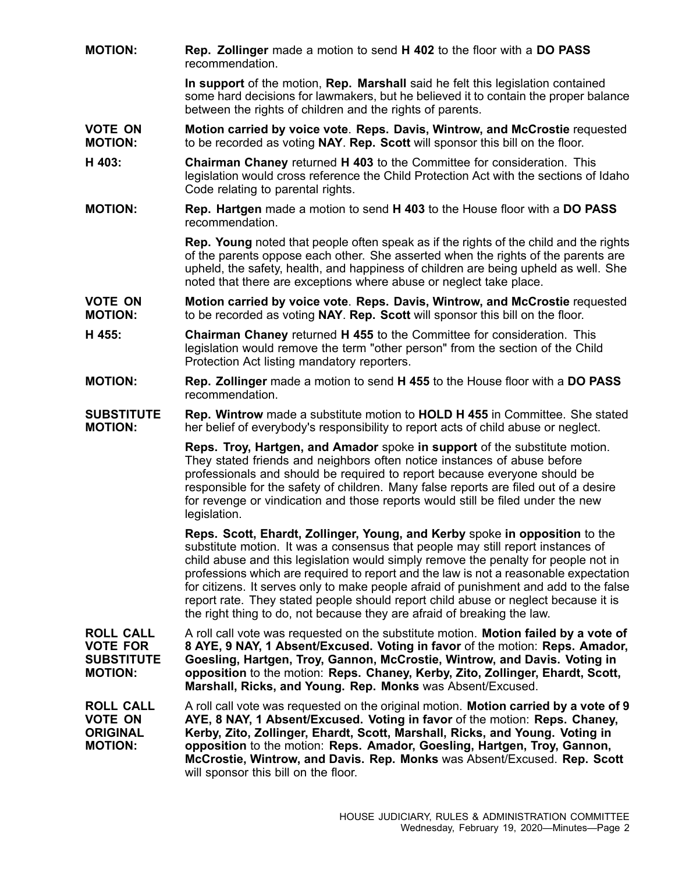**MOTION: Rep. Zollinger** made <sup>a</sup> motion to send **H 402** to the floor with <sup>a</sup> **DO PASS** recommendation.

> **In support** of the motion, **Rep. Marshall** said he felt this legislation contained some hard decisions for lawmakers, but he believed it to contain the proper balance between the rights of children and the rights of parents.

- **VOTE ON MOTION: Motion carried by voice vote**. **Reps. Davis, Wintrow, and McCrostie** requested to be recorded as voting **NAY**. **Rep. Scott** will sponsor this bill on the floor.
- **H 403: Chairman Chaney** returned **H 403** to the Committee for consideration. This legislation would cross reference the Child Protection Act with the sections of Idaho Code relating to parental rights.
- **MOTION: Rep. Hartgen** made <sup>a</sup> motion to send **H 403** to the House floor with <sup>a</sup> **DO PASS** recommendation.

**Rep. Young** noted that people often speak as if the rights of the child and the rights of the parents oppose each other. She asserted when the rights of the parents are upheld, the safety, health, and happiness of children are being upheld as well. She noted that there are exceptions where abuse or neglect take place.

**VOTE ON MOTION: Motion carried by voice vote**. **Reps. Davis, Wintrow, and McCrostie** requested to be recorded as voting **NAY**. **Rep. Scott** will sponsor this bill on the floor.

- **H 455: Chairman Chaney** returned **H 455** to the Committee for consideration. This legislation would remove the term "other person" from the section of the Child Protection Act listing mandatory reporters.
- **MOTION: Rep. Zollinger** made <sup>a</sup> motion to send **H 455** to the House floor with <sup>a</sup> **DO PASS** recommendation.
- **SUBSTITUTE MOTION: Rep. Wintrow** made <sup>a</sup> substitute motion to **HOLD H 455** in Committee. She stated her belief of everybody's responsibility to report acts of child abuse or neglect.

**Reps. Troy, Hartgen, and Amador** spoke **in support** of the substitute motion. They stated friends and neighbors often notice instances of abuse before professionals and should be required to report because everyone should be responsible for the safety of children. Many false reports are filed out of <sup>a</sup> desire for revenge or vindication and those reports would still be filed under the new legislation.

**Reps. Scott, Ehardt, Zollinger, Young, and Kerby** spoke **in opposition** to the substitute motion. It was <sup>a</sup> consensus that people may still report instances of child abuse and this legislation would simply remove the penalty for people not in professions which are required to report and the law is not <sup>a</sup> reasonable expectation for citizens. It serves only to make people afraid of punishment and add to the false report rate. They stated people should report child abuse or neglect because it is the right thing to do, not because they are afraid of breaking the law.

**ROLL CALL VOTE FOR SUBSTITUTE MOTION:** A roll call vote was requested on the substitute motion. **Motion failed by <sup>a</sup> vote of 8 AYE, 9 NAY, 1 Absent/Excused. Voting in favor** of the motion: **Reps. Amador, Goesling, Hartgen, Troy, Gannon, McCrostie, Wintrow, and Davis. Voting in opposition** to the motion: **Reps. Chaney, Kerby, Zito, Zollinger, Ehardt, Scott, Marshall, Ricks, and Young. Rep. Monks** was Absent/Excused.

**ROLL CALL VOTE ON ORIGINAL MOTION:** A roll call vote was requested on the original motion. **Motion carried by <sup>a</sup> vote of 9 AYE, 8 NAY, 1 Absent/Excused. Voting in favor** of the motion: **Reps. Chaney, Kerby, Zito, Zollinger, Ehardt, Scott, Marshall, Ricks, and Young. Voting in opposition** to the motion: **Reps. Amador, Goesling, Hartgen, Troy, Gannon, McCrostie, Wintrow, and Davis. Rep. Monks** was Absent/Excused. **Rep. Scott** will sponsor this bill on the floor.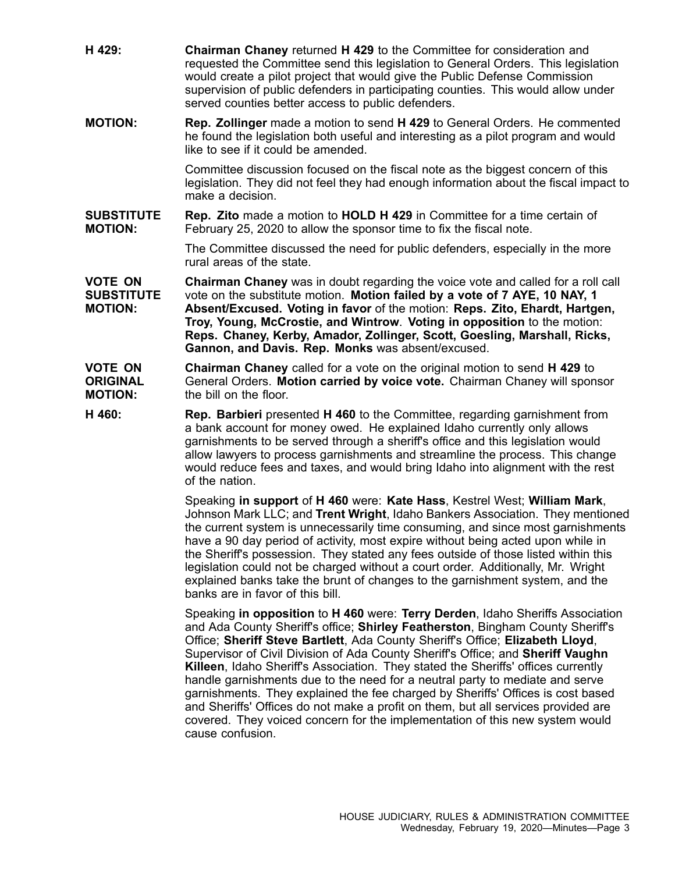- **H 429: Chairman Chaney** returned **H 429** to the Committee for consideration and requested the Committee send this legislation to General Orders. This legislation would create <sup>a</sup> pilot project that would give the Public Defense Commission supervision of public defenders in participating counties. This would allow under served counties better access to public defenders.
- **MOTION: Rep. Zollinger** made <sup>a</sup> motion to send **H 429** to General Orders. He commented he found the legislation both useful and interesting as <sup>a</sup> pilot program and would like to see if it could be amended.

Committee discussion focused on the fiscal note as the biggest concern of this legislation. They did not feel they had enough information about the fiscal impact to make a decision.

**SUBSTITUTE MOTION: Rep. Zito** made <sup>a</sup> motion to **HOLD H 429** in Committee for <sup>a</sup> time certain of February 25, 2020 to allow the sponsor time to fix the fiscal note.

> The Committee discussed the need for public defenders, especially in the more rural areas of the state.

**VOTE ON SUBSTITUTE MOTION: Chairman Chaney** was in doubt regarding the voice vote and called for <sup>a</sup> roll call vote on the substitute motion. **Motion failed by <sup>a</sup> vote of 7 AYE, 10 NAY, 1 Absent/Excused. Voting in favor** of the motion: **Reps. Zito, Ehardt, Hartgen, Troy, Young, McCrostie, and Wintrow**. **Voting in opposition** to the motion: **Reps. Chaney, Kerby, Amador, Zollinger, Scott, Goesling, Marshall, Ricks, Gannon, and Davis. Rep. Monks** was absent/excused.

**VOTE ON ORIGINAL MOTION: Chairman Chaney** called for <sup>a</sup> vote on the original motion to send **H 429** to General Orders. **Motion carried by voice vote.** Chairman Chaney will sponsor the bill on the floor.

**H 460: Rep. Barbieri** presented **H 460** to the Committee, regarding garnishment from <sup>a</sup> bank account for money owed. He explained Idaho currently only allows garnishments to be served through <sup>a</sup> sheriff's office and this legislation would allow lawyers to process garnishments and streamline the process. This change would reduce fees and taxes, and would bring Idaho into alignment with the rest of the nation.

> Speaking **in support** of **H 460** were: **Kate Hass**, Kestrel West; **William Mark**, Johnson Mark LLC; and **Trent Wright**, Idaho Bankers Association. They mentioned the current system is unnecessarily time consuming, and since most garnishments have <sup>a</sup> 90 day period of activity, most expire without being acted upon while in the Sheriff's possession. They stated any fees outside of those listed within this legislation could not be charged without <sup>a</sup> court order. Additionally, Mr. Wright explained banks take the brunt of changes to the garnishment system, and the banks are in favor of this bill.

Speaking **in opposition** to **H 460** were: **Terry Derden**, Idaho Sheriffs Association and Ada County Sheriff's office; **Shirley Featherston**, Bingham County Sheriff's Office; **Sheriff Steve Bartlett**, Ada County Sheriff's Office; **Elizabeth Lloyd**, Supervisor of Civil Division of Ada County Sheriff's Office; and **Sheriff Vaughn Killeen**, Idaho Sheriff's Association. They stated the Sheriffs' offices currently handle garnishments due to the need for <sup>a</sup> neutral party to mediate and serve garnishments. They explained the fee charged by Sheriffs' Offices is cost based and Sheriffs' Offices do not make <sup>a</sup> profit on them, but all services provided are covered. They voiced concern for the implementation of this new system would cause confusion.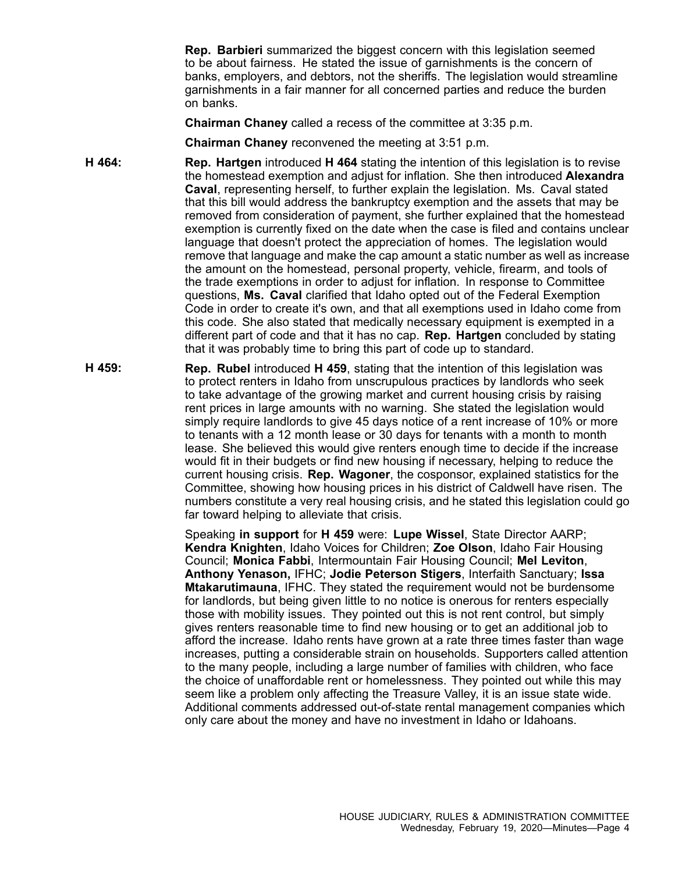**Rep. Barbieri** summarized the biggest concern with this legislation seemed to be about fairness. He stated the issue of garnishments is the concern of banks, employers, and debtors, not the sheriffs. The legislation would streamline garnishments in <sup>a</sup> fair manner for all concerned parties and reduce the burden on banks.

**Chairman Chaney** called <sup>a</sup> recess of the committee at 3:35 p.m.

**Chairman Chaney** reconvened the meeting at 3:51 p.m.

- **H 464: Rep. Hartgen** introduced **H 464** stating the intention of this legislation is to revise the homestead exemption and adjust for inflation. She then introduced **Alexandra Caval**, representing herself, to further explain the legislation. Ms. Caval stated that this bill would address the bankruptcy exemption and the assets that may be removed from consideration of payment, she further explained that the homestead exemption is currently fixed on the date when the case is filed and contains unclear language that doesn't protect the appreciation of homes. The legislation would remove that language and make the cap amount <sup>a</sup> static number as well as increase the amount on the homestead, personal property, vehicle, firearm, and tools of the trade exemptions in order to adjust for inflation. In response to Committee questions, **Ms. Caval** clarified that Idaho opted out of the Federal Exemption Code in order to create it's own, and that all exemptions used in Idaho come from this code. She also stated that medically necessary equipment is exempted in <sup>a</sup> different part of code and that it has no cap. **Rep. Hartgen** concluded by stating that it was probably time to bring this part of code up to standard.
- **H 459: Rep. Rubel** introduced **H 459**, stating that the intention of this legislation was to protect renters in Idaho from unscrupulous practices by landlords who seek to take advantage of the growing market and current housing crisis by raising rent prices in large amounts with no warning. She stated the legislation would simply require landlords to give 45 days notice of <sup>a</sup> rent increase of 10% or more to tenants with <sup>a</sup> 12 month lease or 30 days for tenants with <sup>a</sup> month to month lease. She believed this would give renters enough time to decide if the increase would fit in their budgets or find new housing if necessary, helping to reduce the current housing crisis. **Rep. Wagoner**, the cosponsor, explained statistics for the Committee, showing how housing prices in his district of Caldwell have risen. The numbers constitute <sup>a</sup> very real housing crisis, and he stated this legislation could go far toward helping to alleviate that crisis.

Speaking **in support** for **H 459** were: **Lupe Wissel**, State Director AARP; **Kendra Knighten**, Idaho Voices for Children; **Zoe Olson**, Idaho Fair Housing Council; **Monica Fabbi**, Intermountain Fair Housing Council; **Mel Leviton**, **Anthony Yenason,** IFHC; **Jodie Peterson Stigers**, Interfaith Sanctuary; **Issa Mtakarutimauna**, IFHC. They stated the requirement would not be burdensome for landlords, but being given little to no notice is onerous for renters especially those with mobility issues. They pointed out this is not rent control, but simply gives renters reasonable time to find new housing or to get an additional job to afford the increase. Idaho rents have grown at <sup>a</sup> rate three times faster than wage increases, putting <sup>a</sup> considerable strain on households. Supporters called attention to the many people, including <sup>a</sup> large number of families with children, who face the choice of unaffordable rent or homelessness. They pointed out while this may seem like <sup>a</sup> problem only affecting the Treasure Valley, it is an issue state wide. Additional comments addressed out-of-state rental management companies which only care about the money and have no investment in Idaho or Idahoans.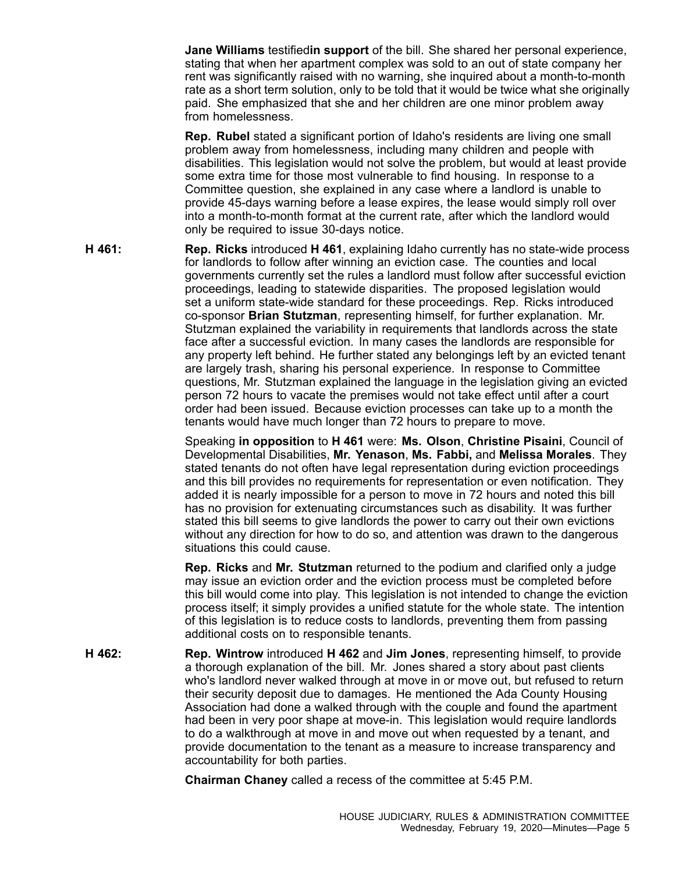**Jane Williams** testified**in support** of the bill. She shared her personal experience, stating that when her apartment complex was sold to an out of state company her rent was significantly raised with no warning, she inquired about <sup>a</sup> month-to-month rate as <sup>a</sup> short term solution, only to be told that it would be twice what she originally paid. She emphasized that she and her children are one minor problem away from homelessness.

**Rep. Rubel** stated <sup>a</sup> significant portion of Idaho's residents are living one small problem away from homelessness, including many children and people with disabilities. This legislation would not solve the problem, but would at least provide some extra time for those most vulnerable to find housing. In response to <sup>a</sup> Committee question, she explained in any case where <sup>a</sup> landlord is unable to provide 45-days warning before <sup>a</sup> lease expires, the lease would simply roll over into <sup>a</sup> month-to-month format at the current rate, after which the landlord would only be required to issue 30-days notice.

**H 461: Rep. Ricks** introduced **H 461**, explaining Idaho currently has no state-wide process for landlords to follow after winning an eviction case. The counties and local governments currently set the rules <sup>a</sup> landlord must follow after successful eviction proceedings, leading to statewide disparities. The proposed legislation would set <sup>a</sup> uniform state-wide standard for these proceedings. Rep. Ricks introduced co-sponsor **Brian Stutzman**, representing himself, for further explanation. Mr. Stutzman explained the variability in requirements that landlords across the state face after <sup>a</sup> successful eviction. In many cases the landlords are responsible for any property left behind. He further stated any belongings left by an evicted tenant are largely trash, sharing his personal experience. In response to Committee questions, Mr. Stutzman explained the language in the legislation giving an evicted person 72 hours to vacate the premises would not take effect until after <sup>a</sup> court order had been issued. Because eviction processes can take up to <sup>a</sup> month the tenants would have much longer than 72 hours to prepare to move.

> Speaking **in opposition** to **H 461** were: **Ms. Olson**, **Christine Pisaini**, Council of Developmental Disabilities, **Mr. Yenason**, **Ms. Fabbi,** and **Melissa Morales**. They stated tenants do not often have legal representation during eviction proceedings and this bill provides no requirements for representation or even notification. They added it is nearly impossible for <sup>a</sup> person to move in 72 hours and noted this bill has no provision for extenuating circumstances such as disability. It was further stated this bill seems to give landlords the power to carry out their own evictions without any direction for how to do so, and attention was drawn to the dangerous situations this could cause.

> **Rep. Ricks** and **Mr. Stutzman** returned to the podium and clarified only <sup>a</sup> judge may issue an eviction order and the eviction process must be completed before this bill would come into play. This legislation is not intended to change the eviction process itself; it simply provides <sup>a</sup> unified statute for the whole state. The intention of this legislation is to reduce costs to landlords, preventing them from passing additional costs on to responsible tenants.

**H 462: Rep. Wintrow** introduced **H 462** and **Jim Jones**, representing himself, to provide <sup>a</sup> thorough explanation of the bill. Mr. Jones shared <sup>a</sup> story about past clients who's landlord never walked through at move in or move out, but refused to return their security deposit due to damages. He mentioned the Ada County Housing Association had done <sup>a</sup> walked through with the couple and found the apartment had been in very poor shape at move-in. This legislation would require landlords to do <sup>a</sup> walkthrough at move in and move out when requested by <sup>a</sup> tenant, and provide documentation to the tenant as <sup>a</sup> measure to increase transparency and accountability for both parties.

**Chairman Chaney** called <sup>a</sup> recess of the committee at 5:45 P.M.